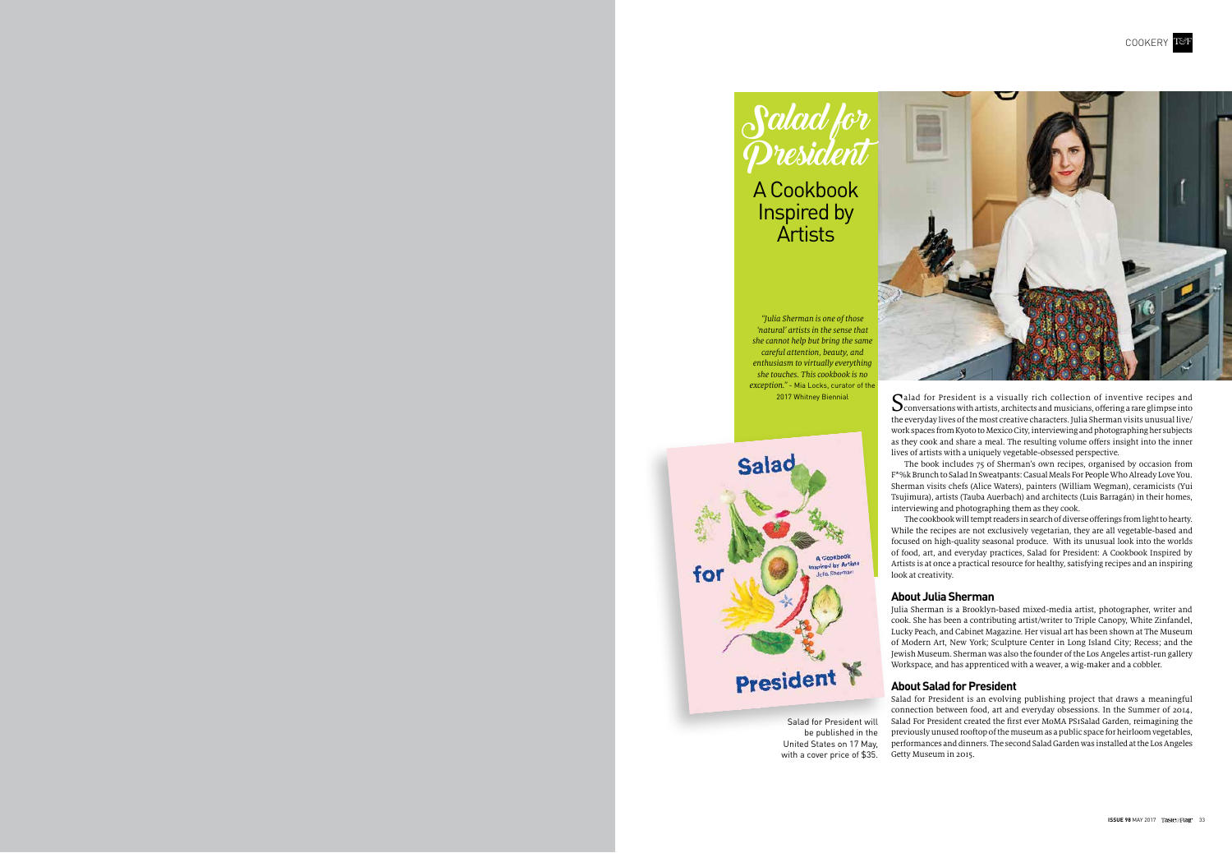



Salad for President is a visually rich collection of inventive recipes and<br>Conversations with artists, architects and musicians, offering a rare glimpse into the everyday lives of the most creative characters. Julia Sherman visits unusual live/ work spaces from Kyoto to Mexico City, interviewing and photographing her subjects as they cook and share a meal. The resulting volume offers insight into the inner lives of artists with a uniquely vegetable-obsessed perspective.

The book includes 75 of Sherman's own recipes, organised by occasion from F\*%k Brunch to Salad In Sweatpants: Casual Meals For People Who Already Love You. Sherman visits chefs (Alice Waters), painters (William Wegman), ceramicists (Yui Tsujimura), artists (Tauba Auerbach) and architects (Luis Barragán) in their homes, interviewing and photographing them as they cook.

The cookbook will tempt readers in search of diverse offerings from light to hearty. While the recipes are not exclusively vegetarian, they are all vegetable-based and focused on high-quality seasonal produce. With its unusual look into the worlds of food, art, and everyday practices, Salad for President: A Cookbook Inspired by Artists is at once a practical resource for healthy, satisfying recipes and an inspiring look at creativity.

### **About Julia Sherman**

Julia Sherman is a Brooklyn-based mixed-media artist, photographer, writer and cook. She has been a contributing artist/writer to Triple Canopy, White Zinfandel, Lucky Peach, and Cabinet Magazine. Her visual art has been shown at The Museum of Modern Art, New York; Sculpture Center in Long Island City; Recess; and the Jewish Museum. Sherman was also the founder of the Los Angeles artist-run gallery Workspace, and has apprenticed with a weaver, a wig-maker and a cobbler.

#### **About Salad for President**

Salad for President is an evolving publishing project that draws a meaningful connection between food, art and everyday obsessions. In the Summer of 2014, Salad For President created the first ever MoMA PS1Salad Garden, reimagining the previously unused rooftop of the museum as a public space for heirloom vegetables, performances and dinners. The second Salad Garden was installed at the Los Angeles Getty Museum in 2015.



A Cookbook Inspired by Artists

"Julia Sherman is one of those 'natural' artists in the sense that she cannot help but bring the same careful attention, beauty, and enthusiasm to virtually everything she touches. This cookbook is no exception." - Mia Locks, curator of the 2017 Whitney Biennial



Salad for President will be published in the United States on 17 May, with a cover price of \$35.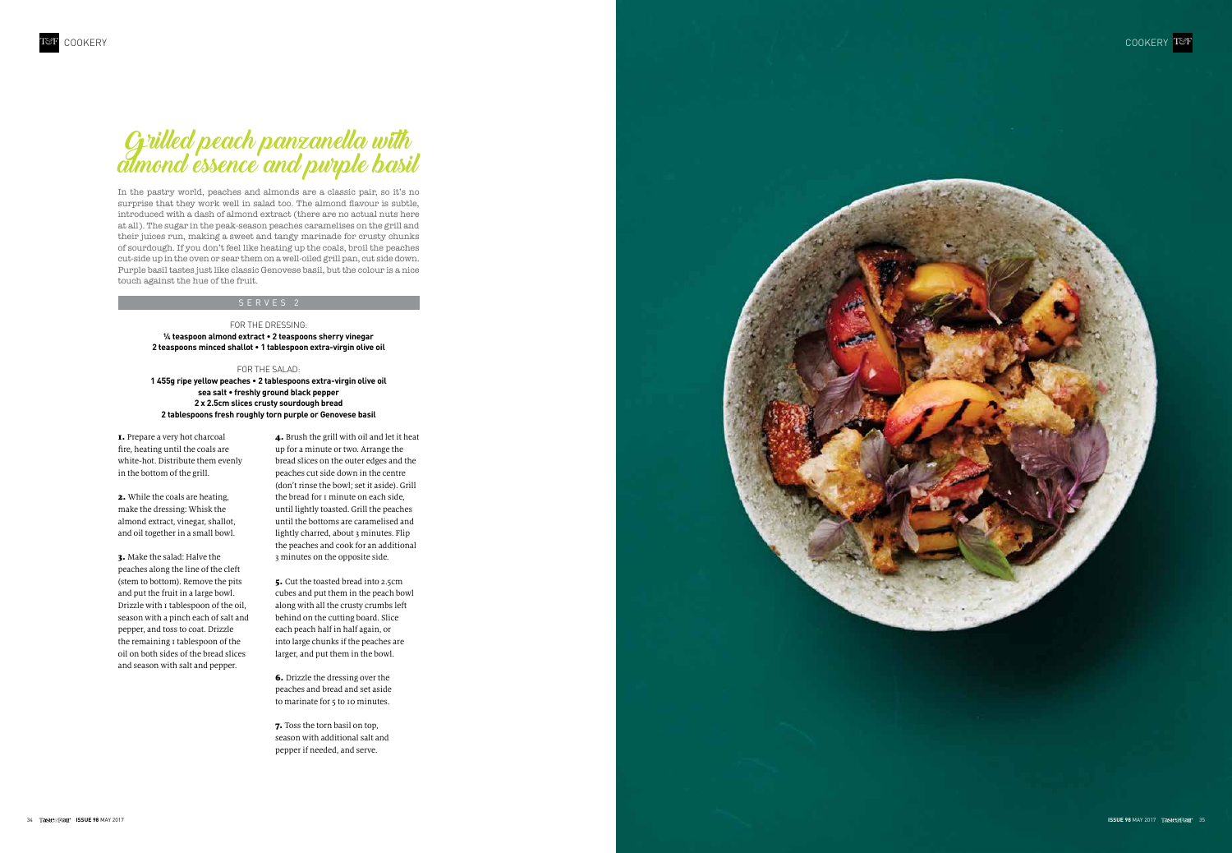

## Grilled peach panzanella with almond essence and purple basil

In the pastry world, peaches and almonds are a classic pair, so it's no surprise that they work well in salad too. The almond flavour is subtle, introduced with a dash of almond extract (there are no actual nuts here at all). The sugar in the peak-season peaches caramelises on the grill and their juices run, making a sweet and tangy marinade for crusty chunks of sourdough. If you don't feel like heating up the coals, broil the peaches cut-side up in the oven or sear them on a well-oiled grill pan, cut side down. Purple basil tastes just like classic Genovese basil, but the colour is a nice touch against the hue of the fruit.

#### Serve s 2

#### For th e dressing: **¼ teaspoon almond extract • 2 teaspoons sherry vinegar 2 teaspoons minced shallot • 1 tablespoon extra-virgin olive oil**

#### For the salad:

**1 455g ripe yellow peaches • 2 tablespoons extra-virgin olive oil sea salt • freshly ground black pepper 2 x 2.5cm slices crusty sourdough bread 2 tablespoons fresh roughly torn purple or Genovese basil**

1. Prepare a very hot charcoal fire, heating until the coals are white-hot. Distribute them evenly in the bottom of the grill.

> 6. Drizzle the dressing over the peaches and bread and set aside to marinate for 5 to 10 minutes.

2. While the coals are heating, make the dressing: Whisk the almond extract, vinegar, shallot, and oil together in a small bowl.

3. Make the salad: Halve the peaches along the line of the cleft (stem to bottom). Remove the pits and put the fruit in a large bowl. Drizzle with 1 tablespoon of the oil, season with a pinch each of salt and pepper, and toss to coat. Drizzle the remaining 1 tablespoon of the oil on both sides of the bread slices and season with salt and pepper.

4. Brush the grill with oil and let it heat up for a minute or two. Arrange the bread slices on the outer edges and the peaches cut side down in the centre (don't rinse the bowl; set it aside). Grill the bread for 1 minute on each side, until lightly toasted. Grill the peaches until the bottoms are caramelised and lightly charred, about 3 minutes. Flip the peaches and cook for an additional 3 minutes on the opposite side.

5. Cut the toasted bread into 2.5cm cubes and put them in the peach bowl along with all the crusty crumbs left behind on the cutting board. Slice each peach half in half again, or into large chunks if the peaches are larger, and put them in the bowl.

7. Toss the torn basil on top, season with additional salt and pepper if needed, and serve.

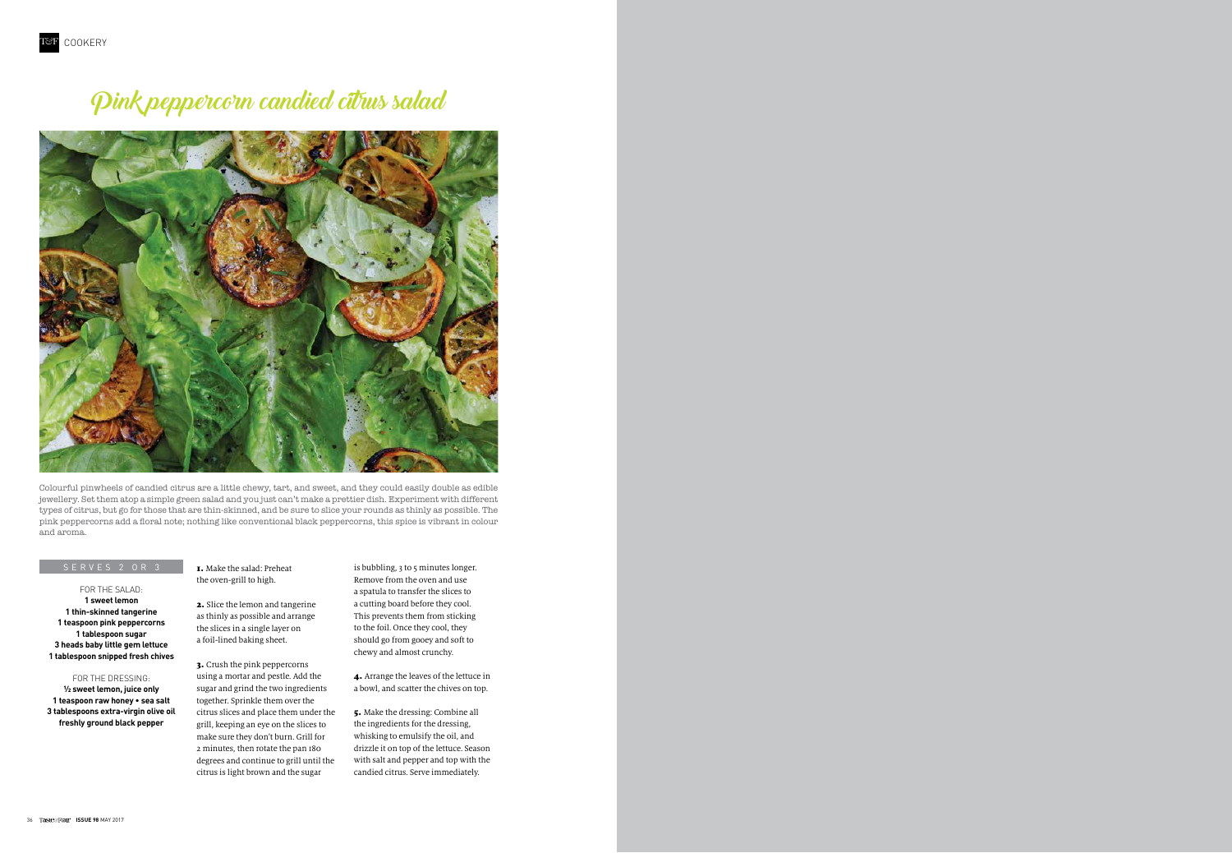## Pink peppercorn candied citrus salad



1. Make the salad: Preheat the oven-grill to high.

2. Slice the lemon and tangerine as thinly as possible and arrange the slices in a single layer on a foil-lined baking sheet.

3. Crush the pink peppercorns using a mortar and pestle. Add the sugar and grind the two ingredients together. Sprinkle them over the citrus slices and place them under the grill, keeping an eye on the slices to make sure they don't burn. Grill for 2 minutes, then rotate the pan 180 degrees and continue to grill until the citrus is light brown and the sugar

For the salad: **1 sweet lemon 1 thin-skinned tangerine 1 teaspoon pink peppercorns 1 tablespoon sugar 3 heads baby little gem lettuce 1 tablespoon snipped fresh chives**

For the dressing: **½ sweet lemon, juice only 1 teaspoon raw honey • sea salt 3 tablespoons extra-virgin olive oil freshly ground black pepper** 

Colourful pinwheels of candied citrus are a little chewy, tart, and sweet, and they could easily double as edible jewellery. Set them atop a simple green salad and you just can't make a prettier dish. Experiment with different types of citrus, but go for those that are thin-skinned, and be sure to slice your rounds as thinly as possible. The pink peppercorns add a floral note; nothing like conventional black peppercorns, this spice is vibrant in colour and aroma.

is bubbling, 3 to 5 minutes longer. Remove from the oven and use a spatula to transfer the slices to a cutting board before they cool. This prevents them from sticking to the foil. Once they cool, they should go from gooey and soft to chewy and almost crunchy.

4. Arrange the leaves of the lettuce in a bowl, and scatter the chives on top.

5. Make the dressing: Combine all the ingredients for the dressing, whisking to emulsify the oil, and drizzle it on top of the lettuce. Season with salt and pepper and top with the candied citrus. Serve immediately.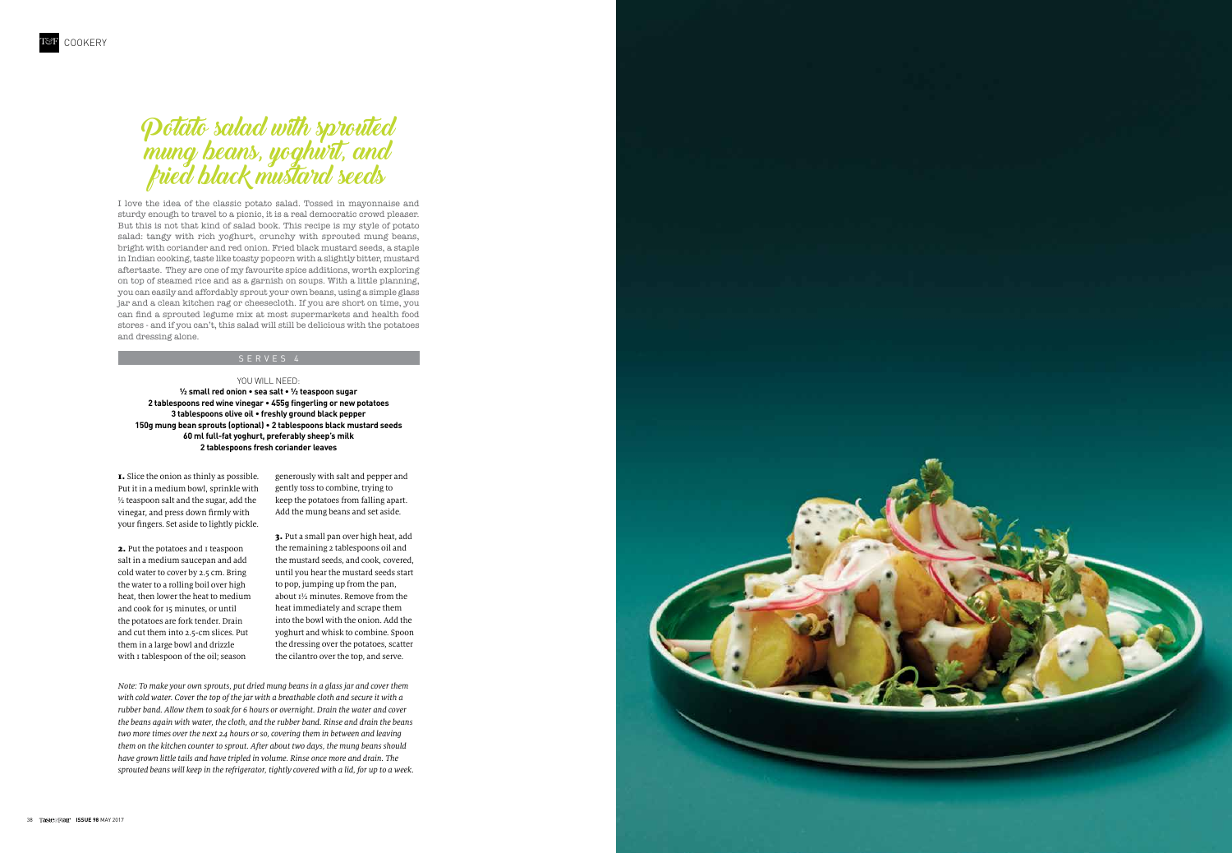

1. Slice the onion as thinly as possible. Put it in a medium bowl, sprinkle with ½ teaspoon salt and the sugar, add the vinegar, and press down firmly with your fingers. Set aside to lightly pickle.

2. Put the potatoes and I teaspoon salt in a medium saucepan and add cold water to cover by 2.5 cm. Bring the water to a rolling boil over high heat, then lower the heat to medium and cook for 15 minutes, or until the potatoes are fork tender. Drain and cut them into 2.5-cm slices. Put them in a large bowl and drizzle with I tablespoon of the oil; season

## Potato salad with sprouted mung beans, yoghurt, and fried black mustard seeds

I love the idea of the classic potato salad. Tossed in mayonnaise and sturdy enough to travel to a picnic, it is a real democratic crowd pleaser. But this is not that kind of salad book. This recipe is my style of potato salad: tangy with rich yoghurt, crunchy with sprouted mung beans, bright with coriander and red onion. Fried black mustard seeds, a staple in Indian cooking, taste like toasty popcorn with a slightly bitter, mustard aftertaste. They are one of my favourite spice additions, worth exploring on top of steamed rice and as a garnish on soups. With a little planning, you can easily and affordably sprout your own beans, using a simple glass jar and a clean kitchen rag or cheesecloth. If you are short on time, you can find a sprouted legume mix at most supermarkets and health food stores - and if you can't, this salad will still be delicious with the potatoes and dressing alone.

#### Serve s 4

#### YOU WILL NEED:

**½ small red onion • sea salt • ½ teaspoon sugar 2 tablespoons red wine vinegar • 455g fingerling or new potatoes 3 tablespoons olive oil • freshly ground black pepper 150g mung bean sprouts (optional) • 2 tablespoons black mustard seeds 60 ml full-fat yoghurt, preferably sheep's milk 2 tablespoons fresh coriander leaves**

> generously with salt and pepper and gently toss to combine, trying to keep the potatoes from falling apart. Add the mung beans and set aside.

3. Put a small pan over high heat, add the remaining 2 tablespoons oil and the mustard seeds, and cook, covered, until you hear the mustard seeds start to pop, jumping up from the pan, about 1½ minutes. Remove from the heat immediately and scrape them into the bowl with the onion. Add the yoghurt and whisk to combine. Spoon the dressing over the potatoes, scatter the cilantro over the top, and serve.

Note: To make your own sprouts, put dried mung beans in a glass jar and cover them with cold water. Cover the top of the jar with a breathable cloth and secure it with a rubber band. Allow them to soak for 6 hours or overnight. Drain the water and cover the beans again with water, the cloth, and the rubber band. Rinse and drain the beans two more times over the next 24 hours or so, covering them in between and leaving them on the kitchen counter to sprout. After about two days, the mung beans should have grown little tails and have tripled in volume. Rinse once more and drain. The sprouted beans will keep in the refrigerator, tightly covered with a lid, for up to a week.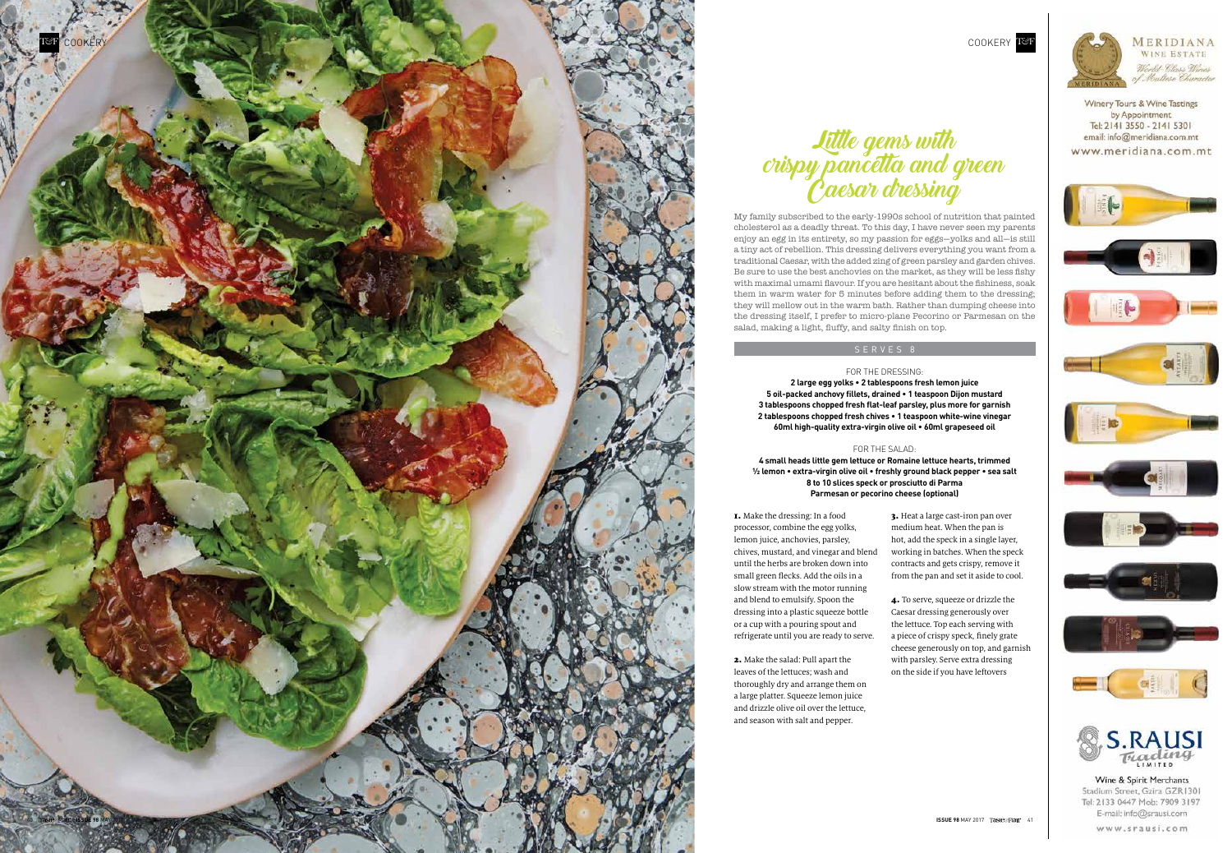



1. Make the dressing: In a food processor, combine the egg yolks, lemon juice, anchovies, parsley, chives, mustard, and vinegar and blend until the herbs are broken down into small green flecks. Add the oils in a slow stream with the motor running and blend to emulsify. Spoon the dressing into a plastic squeeze bottle or a cup with a pouring spout and refrigerate until you are ready to serve.

2. Make the salad: Pull apart the leaves of the lettuces; wash and thoroughly dry and arrange them on a large platter. Squeeze lemon juice and drizzle olive oil over the lettuce, and season with salt and pepper.

Little gems with crispy pancetta and green Caesar dressing

My family subscribed to the early-1990s school of nutrition that painted cholesterol as a deadly threat. To this day, I have never seen my parents enjoy an egg in its entirety, so my passion for eggs—yolks and all—is still a tiny act of rebellion. This dressing delivers everything you want from a traditional Caesar, with the added zing of green parsley and garden chives. Be sure to use the best anchovies on the market, as they will be less fishy with maximal umami flavour. If you are hesitant about the fishiness, soak them in warm water for 5 minutes before adding them to the dressing; they will mellow out in the warm bath. Rather than dumping cheese into the dressing itself, I prefer to micro-plane Pecorino or Parmesan on the salad, making a light, fluffy, and salty finish on top.

#### Serve s 8

#### For th e dressing:

**2 large egg yolks • 2 tablespoons fresh lemon juice 5 oil-packed anchovy fillets, drained • 1 teaspoon Dijon mustard 3 tablespoons chopped fresh flat-leaf parsley, plus more for garnish 2 tablespoons chopped fresh chives • 1 teaspoon white-wine vinegar 60ml high-quality extra-virgin olive oil • 60ml grapeseed oil**

#### For the salad:

**4 small heads little gem lettuce or Romaine lettuce hearts, trimmed ½ lemon • extra-virgin olive oil • freshly ground black pepper • sea salt 8 to 10 slices speck or prosciutto di Parma Parmesan or pecorino cheese (optional)**

> 3. Heat a large cast-iron pan over medium heat. When the pan is hot, add the speck in a single layer, working in batches. When the speck contracts and gets crispy, remove it from the pan and set it aside to cool.

4. To serve, squeeze or drizzle the Caesar dressing generously over the lettuce. Top each serving with a piece of crispy speck, finely grate cheese generously on top, and garnish with parsley. Serve extra dressing on the side if you have leftovers



Winery Tours & Wine Tastings by Appointment Tel: 2141 3550 - 2141 5301 email: info@meridiana.com.mt www.meridiana.com.mt



Stadium Street, Gzira GZR1301 Tel: 2133 0447 Mob: 7909 3197 E-mail: info@srausi.com

**ISSUE 98 MAY 2017 TASHAGETIAIP** 41

www.srausi.com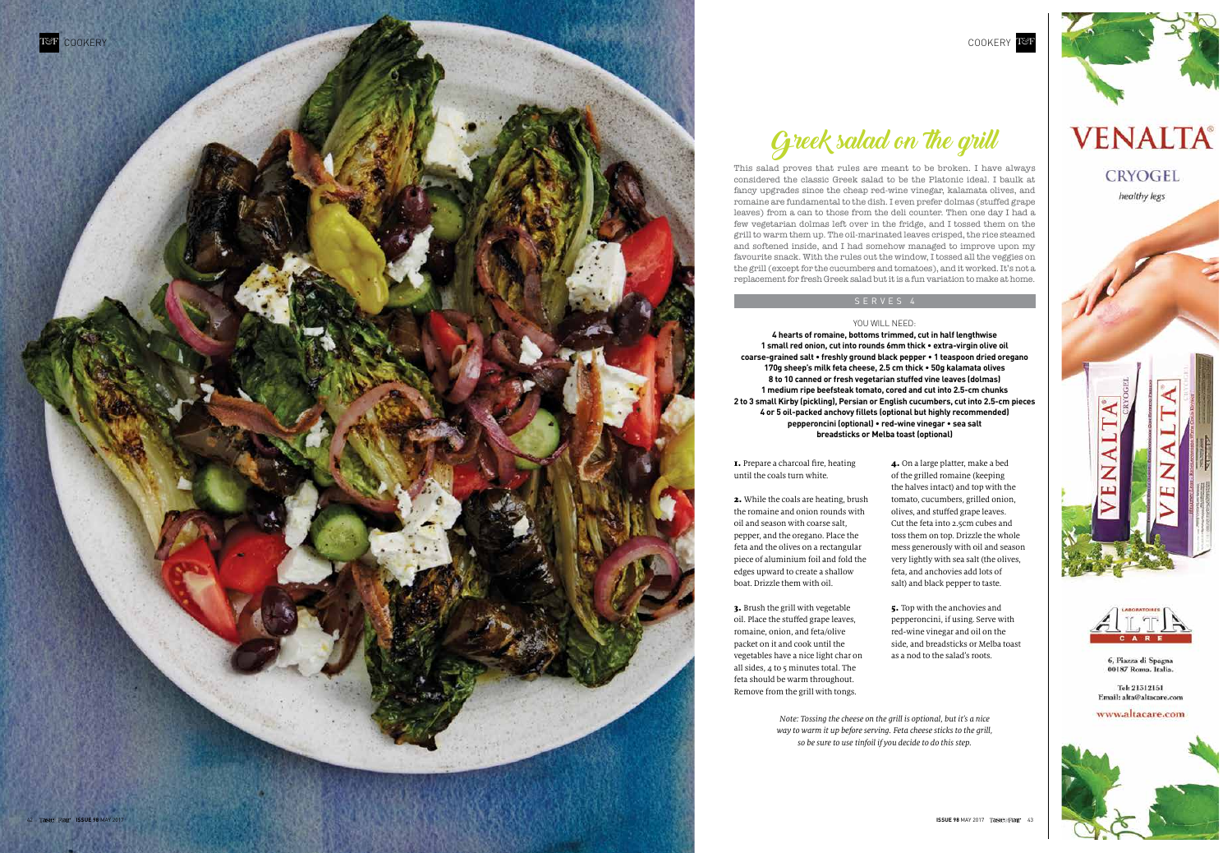



1. Prepare a charcoal fire, heating until the coals turn white.

2. While the coals are heating, brush the romaine and onion rounds with oil and season with coarse salt, pepper, and the oregano. Place the feta and the olives on a rectangular piece of aluminium foil and fold the edges upward to create a shallow boat. Drizzle them with oil.

3. Brush the grill with vegetable oil. Place the stuffed grape leaves, romaine, onion, and feta/olive packet on it and cook until the vegetables have a nice light char on all sides,  $4$  to 5 minutes total. The feta should be warm throughout. Remove from the grill with tongs.

Greek salad on the grill

This salad proves that rules are meant to be broken. I have always considered the classic Greek salad to be the Platonic ideal. I baulk at fancy upgrades since the cheap red-wine vinegar, kalamata olives, and romaine are fundamental to the dish. I even prefer dolmas (stuffed grape leaves) from a can to those from the deli counter. Then one day I had a few vegetarian dolmas left over in the fridge, and I tossed them on the grill to warm them up. The oil-marinated leaves crisped, the rice steamed and softened inside, and I had somehow managed to improve upon my favourite snack. With the rules out the window, I tossed all the veggies on the grill (except for the cucumbers and tomatoes), and it worked. It's not a replacement for fresh Greek salad but it is a fun variation to make at home.

#### Serve s 4

#### YOU WILL NEE D :

**4 hearts of romaine, bottoms trimmed, cut in half lengthwise 1 small red onion, cut into rounds 6mm thick • extra-virgin olive oil coarse-grained salt • freshly ground black pepper • 1 teaspoon dried oregano 170g sheep's milk feta cheese, 2.5 cm thick • 50g kalamata olives 8 to 10 canned or fresh vegetarian stuffed vine leaves (dolmas) 1 medium ripe beefsteak tomato, cored and cut into 2.5-cm chunks 2 to 3 small Kirby (pickling), Persian or English cucumbers, cut into 2.5-cm pieces 4 or 5 oil-packed anchovy fillets (optional but highly recommended) pepperoncini (optional) • red-wine vinegar • sea salt breadsticks or Melba toast (optional)**

> 4. On a large platter, make a bed of the grilled romaine (keeping the halves intact) and top with the tomato, cucumbers, grilled onion, olives, and stuffed grape leaves. Cut the feta into 2.5cm cubes and toss them on top. Drizzle the whole mess generously with oil and season very lightly with sea salt (the olives, feta, and anchovies add lots of salt) and black pepper to taste.

5. Top with the anchovies and pepperoncini, if using. Serve with red-wine vinegar and oil on the side, and breadsticks or Melba toast as a nod to the salad's roots.



# **VENALTA®**





6, Piazza di Spagna<br>00187 Roma. Italia.

Tel: 21312151 Email: alta@altacare.com

www.altacare.com



Note: Tossing the cheese on the grill is optional, but it's a nice way to warm it up before serving. Feta cheese sticks to the grill, so be sure to use tinfoil if you decide to do this step.